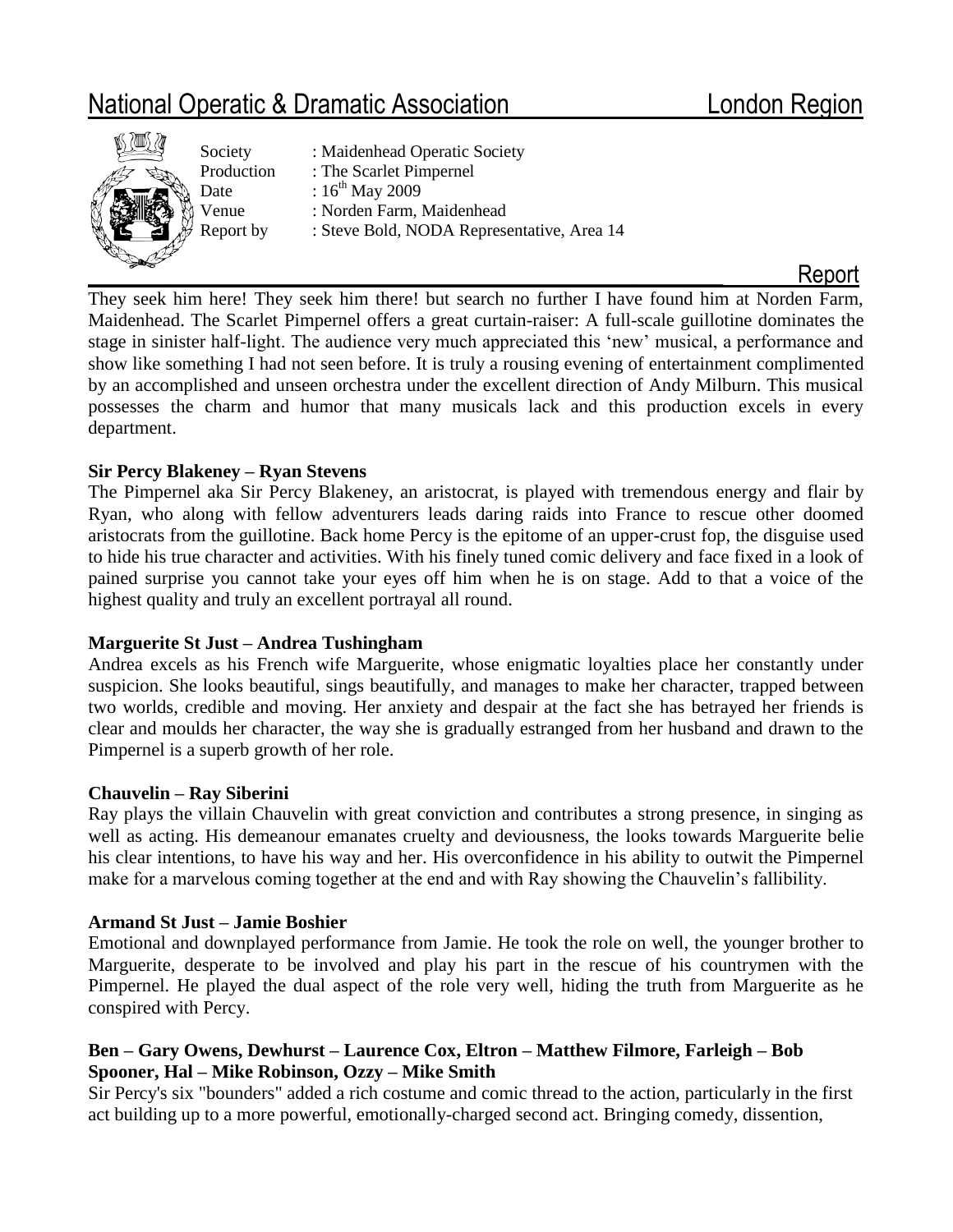# National Operatic & Dramatic Association London Region



Society : Maidenhead Operatic Society Production : The Scarlet Pimpernel Date  $: 16^{th}$  May 2009 Venue : Norden Farm, Maidenhead Report by : Steve Bold, NODA Representative, Area 14

They seek him here! They seek him there! but search no further I have found him at Norden Farm, Maidenhead. The Scarlet Pimpernel offers a great curtain-raiser: A full-scale guillotine dominates the stage in sinister half-light. The audience very much appreciated this 'new' musical, a performance and show like something I had not seen before. It is truly a rousing evening of entertainment complimented by an accomplished and unseen orchestra under the excellent direction of Andy Milburn. This musical possesses the charm and humor that many musicals lack and this production excels in every department.

# **Sir Percy Blakeney – Ryan Stevens**

The Pimpernel aka Sir Percy Blakeney, an aristocrat, is played with tremendous energy and flair by Ryan, who along with fellow adventurers leads daring raids into France to rescue other doomed aristocrats from the guillotine. Back home Percy is the epitome of an upper-crust fop, the disguise used to hide his true character and activities. With his finely tuned comic delivery and face fixed in a look of pained surprise you cannot take your eyes off him when he is on stage. Add to that a voice of the highest quality and truly an excellent portrayal all round.

# **Marguerite St Just – Andrea Tushingham**

Andrea excels as his French wife Marguerite, whose enigmatic loyalties place her constantly under suspicion. She looks beautiful, sings beautifully, and manages to make her character, trapped between two worlds, credible and moving. Her anxiety and despair at the fact she has betrayed her friends is clear and moulds her character, the way she is gradually estranged from her husband and drawn to the Pimpernel is a superb growth of her role.

# **Chauvelin – Ray Siberini**

Ray plays the villain Chauvelin with great conviction and contributes a strong presence, in singing as well as acting. His demeanour emanates cruelty and deviousness, the looks towards Marguerite belie his clear intentions, to have his way and her. His overconfidence in his ability to outwit the Pimpernel make for a marvelous coming together at the end and with Ray showing the Chauvelin's fallibility.

#### **Armand St Just – Jamie Boshier**

Emotional and downplayed performance from Jamie. He took the role on well, the younger brother to Marguerite, desperate to be involved and play his part in the rescue of his countrymen with the Pimpernel. He played the dual aspect of the role very well, hiding the truth from Marguerite as he conspired with Percy.

### **Ben – Gary Owens, Dewhurst – Laurence Cox, Eltron – Matthew Filmore, Farleigh – Bob Spooner, Hal – Mike Robinson, Ozzy – Mike Smith**

Sir Percy's six "bounders" added a rich costume and comic thread to the action, particularly in the first act building up to a more powerful, emotionally-charged second act. Bringing comedy, dissention,